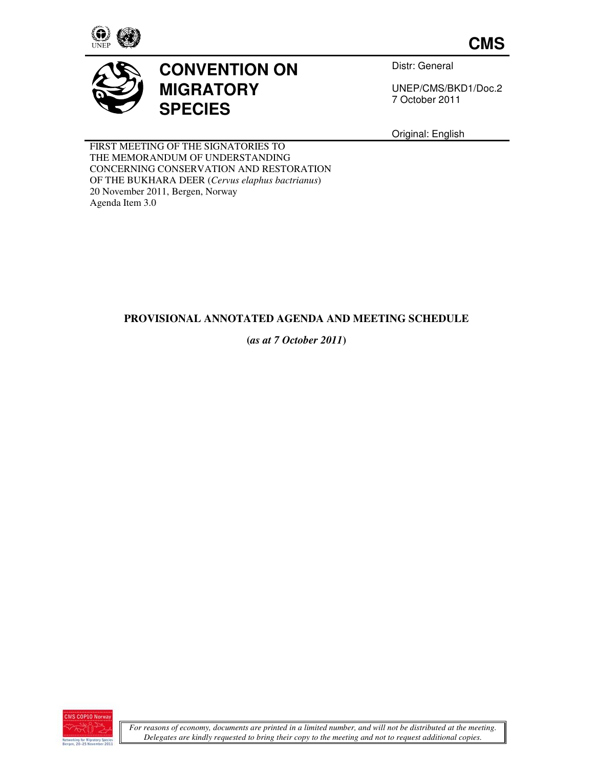

**CMS**



# **CONVENTION ON MIGRATORY SPECIES**

Distr: General

UNEP/CMS/BKD1/Doc.2 7 October 2011

Original: English

FIRST MEETING OF THE SIGNATORIES TO THE MEMORANDUM OF UNDERSTANDING CONCERNING CONSERVATION AND RESTORATION OF THE BUKHARA DEER (*Cervus elaphus bactrianus*) 20 November 2011, Bergen, Norway Agenda Item 3.0

## **PROVISIONAL ANNOTATED AGENDA AND MEETING SCHEDULE**

## **(***as at 7 October 2011***)**

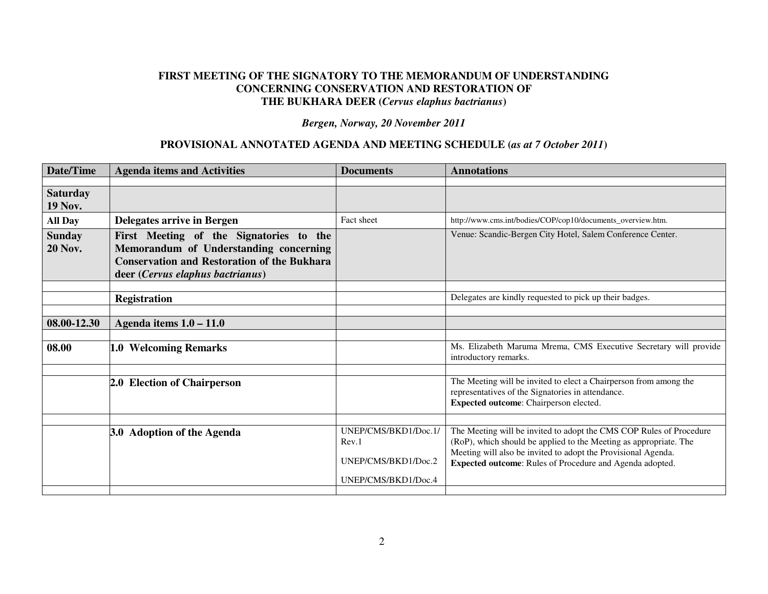#### **FIRST MEETING OF THE SIGNATORY TO THE MEMORANDUM OF UNDERSTANDING CONCERNING CONSERVATION AND RESTORATION OF THE BUKHARA DEER (***Cervus elaphus bactrianus***)**

*Bergen, Norway, 20 November 2011* 

#### **PROVISIONAL ANNOTATED AGENDA AND MEETING SCHEDULE (***as at 7 October 2011***)**

| Date/Time                         | <b>Agenda items and Activities</b>                                                                                                                                          | <b>Documents</b>                                     | <b>Annotations</b>                                                                                                                                                                                                                                                    |
|-----------------------------------|-----------------------------------------------------------------------------------------------------------------------------------------------------------------------------|------------------------------------------------------|-----------------------------------------------------------------------------------------------------------------------------------------------------------------------------------------------------------------------------------------------------------------------|
|                                   |                                                                                                                                                                             |                                                      |                                                                                                                                                                                                                                                                       |
| <b>Saturday</b><br><b>19 Nov.</b> |                                                                                                                                                                             |                                                      |                                                                                                                                                                                                                                                                       |
| <b>All Day</b>                    | Delegates arrive in Bergen                                                                                                                                                  | Fact sheet                                           | http://www.cms.int/bodies/COP/cop10/documents_overview.htm.                                                                                                                                                                                                           |
| <b>Sunday</b><br><b>20 Nov.</b>   | First Meeting of the Signatories to the<br>Memorandum of Understanding concerning<br><b>Conservation and Restoration of the Bukhara</b><br>deer (Cervus elaphus bactrianus) |                                                      | Venue: Scandic-Bergen City Hotel, Salem Conference Center.                                                                                                                                                                                                            |
|                                   |                                                                                                                                                                             |                                                      |                                                                                                                                                                                                                                                                       |
|                                   | <b>Registration</b>                                                                                                                                                         |                                                      | Delegates are kindly requested to pick up their badges.                                                                                                                                                                                                               |
|                                   |                                                                                                                                                                             |                                                      |                                                                                                                                                                                                                                                                       |
| 08.00-12.30                       | Agenda items $1.0 - 11.0$                                                                                                                                                   |                                                      |                                                                                                                                                                                                                                                                       |
|                                   |                                                                                                                                                                             |                                                      |                                                                                                                                                                                                                                                                       |
| 08.00                             | 1.0 Welcoming Remarks                                                                                                                                                       |                                                      | Ms. Elizabeth Maruma Mrema, CMS Executive Secretary will provide<br>introductory remarks.                                                                                                                                                                             |
|                                   |                                                                                                                                                                             |                                                      |                                                                                                                                                                                                                                                                       |
|                                   | 2.0 Election of Chairperson                                                                                                                                                 |                                                      | The Meeting will be invited to elect a Chairperson from among the<br>representatives of the Signatories in attendance.<br>Expected outcome: Chairperson elected.                                                                                                      |
|                                   |                                                                                                                                                                             |                                                      |                                                                                                                                                                                                                                                                       |
|                                   | 3.0 Adoption of the Agenda                                                                                                                                                  | UNEP/CMS/BKD1/Doc.1/<br>Rev.1<br>UNEP/CMS/BKD1/Doc.2 | The Meeting will be invited to adopt the CMS COP Rules of Procedure<br>(RoP), which should be applied to the Meeting as appropriate. The<br>Meeting will also be invited to adopt the Provisional Agenda.<br>Expected outcome: Rules of Procedure and Agenda adopted. |
|                                   |                                                                                                                                                                             | UNEP/CMS/BKD1/Doc.4                                  |                                                                                                                                                                                                                                                                       |
|                                   |                                                                                                                                                                             |                                                      |                                                                                                                                                                                                                                                                       |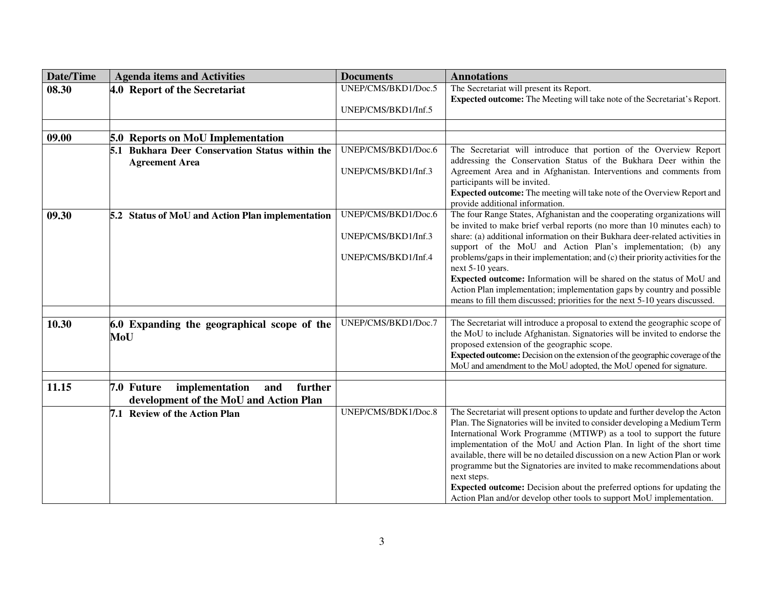| <b>Date/Time</b> | <b>Agenda items and Activities</b>                                                       | <b>Documents</b>    | <b>Annotations</b>                                                                                                                                                                                                                                                                                                                                                                                                                                                                                                                                                                                                                        |
|------------------|------------------------------------------------------------------------------------------|---------------------|-------------------------------------------------------------------------------------------------------------------------------------------------------------------------------------------------------------------------------------------------------------------------------------------------------------------------------------------------------------------------------------------------------------------------------------------------------------------------------------------------------------------------------------------------------------------------------------------------------------------------------------------|
| 08.30            | 4.0 Report of the Secretariat                                                            | UNEP/CMS/BKD1/Doc.5 | The Secretariat will present its Report.                                                                                                                                                                                                                                                                                                                                                                                                                                                                                                                                                                                                  |
|                  |                                                                                          | UNEP/CMS/BKD1/Inf.5 | Expected outcome: The Meeting will take note of the Secretariat's Report.                                                                                                                                                                                                                                                                                                                                                                                                                                                                                                                                                                 |
|                  |                                                                                          |                     |                                                                                                                                                                                                                                                                                                                                                                                                                                                                                                                                                                                                                                           |
| 09.00            | <b>5.0 Reports on MoU Implementation</b>                                                 |                     |                                                                                                                                                                                                                                                                                                                                                                                                                                                                                                                                                                                                                                           |
|                  | 5.1 Bukhara Deer Conservation Status within the                                          | UNEP/CMS/BKD1/Doc.6 | The Secretariat will introduce that portion of the Overview Report                                                                                                                                                                                                                                                                                                                                                                                                                                                                                                                                                                        |
|                  | <b>Agreement Area</b>                                                                    | UNEP/CMS/BKD1/Inf.3 | addressing the Conservation Status of the Bukhara Deer within the<br>Agreement Area and in Afghanistan. Interventions and comments from<br>participants will be invited.                                                                                                                                                                                                                                                                                                                                                                                                                                                                  |
|                  |                                                                                          |                     | Expected outcome: The meeting will take note of the Overview Report and<br>provide additional information.                                                                                                                                                                                                                                                                                                                                                                                                                                                                                                                                |
| 09.30            | 5.2 Status of MoU and Action Plan implementation                                         | UNEP/CMS/BKD1/Doc.6 | The four Range States, Afghanistan and the cooperating organizations will<br>be invited to make brief verbal reports (no more than 10 minutes each) to                                                                                                                                                                                                                                                                                                                                                                                                                                                                                    |
|                  |                                                                                          | UNEP/CMS/BKD1/Inf.3 | share: (a) additional information on their Bukhara deer-related activities in<br>support of the MoU and Action Plan's implementation; (b) any                                                                                                                                                                                                                                                                                                                                                                                                                                                                                             |
|                  |                                                                                          | UNEP/CMS/BKD1/Inf.4 | problems/gaps in their implementation; and (c) their priority activities for the<br>next 5-10 years.                                                                                                                                                                                                                                                                                                                                                                                                                                                                                                                                      |
|                  |                                                                                          |                     | Expected outcome: Information will be shared on the status of MoU and                                                                                                                                                                                                                                                                                                                                                                                                                                                                                                                                                                     |
|                  |                                                                                          |                     | Action Plan implementation; implementation gaps by country and possible<br>means to fill them discussed; priorities for the next 5-10 years discussed.                                                                                                                                                                                                                                                                                                                                                                                                                                                                                    |
|                  |                                                                                          |                     |                                                                                                                                                                                                                                                                                                                                                                                                                                                                                                                                                                                                                                           |
| 10.30            | 6.0 Expanding the geographical scope of the<br>MoU                                       | UNEP/CMS/BKD1/Doc.7 | The Secretariat will introduce a proposal to extend the geographic scope of<br>the MoU to include Afghanistan. Signatories will be invited to endorse the<br>proposed extension of the geographic scope.                                                                                                                                                                                                                                                                                                                                                                                                                                  |
|                  |                                                                                          |                     | <b>Expected outcome:</b> Decision on the extension of the geographic coverage of the<br>MoU and amendment to the MoU adopted, the MoU opened for signature.                                                                                                                                                                                                                                                                                                                                                                                                                                                                               |
|                  |                                                                                          |                     |                                                                                                                                                                                                                                                                                                                                                                                                                                                                                                                                                                                                                                           |
| 11.15            | 7.0 Future<br>implementation<br>and<br>further<br>development of the MoU and Action Plan |                     |                                                                                                                                                                                                                                                                                                                                                                                                                                                                                                                                                                                                                                           |
|                  | 7.1 Review of the Action Plan                                                            | UNEP/CMS/BDK1/Doc.8 | The Secretariat will present options to update and further develop the Acton<br>Plan. The Signatories will be invited to consider developing a Medium Term<br>International Work Programme (MTIWP) as a tool to support the future<br>implementation of the MoU and Action Plan. In light of the short time<br>available, there will be no detailed discussion on a new Action Plan or work<br>programme but the Signatories are invited to make recommendations about<br>next steps.<br>Expected outcome: Decision about the preferred options for updating the<br>Action Plan and/or develop other tools to support MoU implementation. |